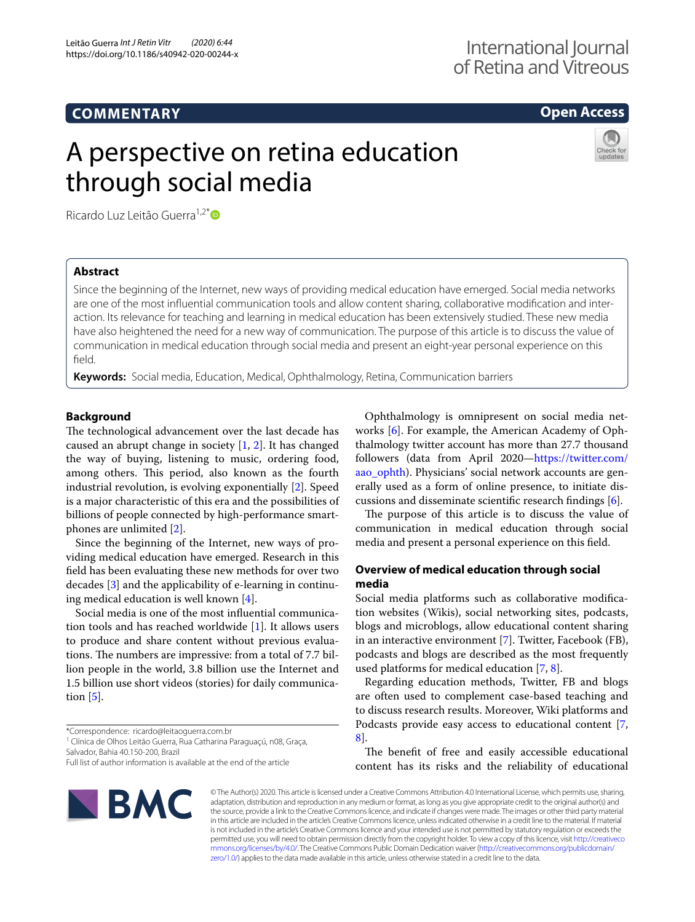# **COMMENTARY**

## **Open Access**

# A perspective on retina education through social media



Ricardo Luz Leitão Guerra<sup>1,2[\\*](http://orcid.org/0000-0003-4597-9454)</sup> D

## **Abstract**

Since the beginning of the Internet, new ways of providing medical education have emerged. Social media networks are one of the most infuential communication tools and allow content sharing, collaborative modifcation and interaction. Its relevance for teaching and learning in medical education has been extensively studied. These new media have also heightened the need for a new way of communication. The purpose of this article is to discuss the value of communication in medical education through social media and present an eight-year personal experience on this feld.

**Keywords:** Social media, Education, Medical, Ophthalmology, Retina, Communication barriers

### **Background**

The technological advancement over the last decade has caused an abrupt change in society [\[1](#page-2-0), [2](#page-2-1)]. It has changed the way of buying, listening to music, ordering food, among others. This period, also known as the fourth industrial revolution, is evolving exponentially [[2\]](#page-2-1). Speed is a major characteristic of this era and the possibilities of billions of people connected by high-performance smartphones are unlimited [[2\]](#page-2-1).

Since the beginning of the Internet, new ways of providing medical education have emerged. Research in this feld has been evaluating these new methods for over two decades [[3\]](#page-2-2) and the applicability of e-learning in continuing medical education is well known [\[4](#page-2-3)].

Social media is one of the most infuential communication tools and has reached worldwide [\[1](#page-2-0)]. It allows users to produce and share content without previous evaluations. The numbers are impressive: from a total of 7.7 billion people in the world, 3.8 billion use the Internet and 1.5 billion use short videos (stories) for daily communication  $[5]$  $[5]$ .

<sup>1</sup> Clínica de Olhos Leitão Guerra, Rua Catharina Paraguaçú, n08, Graça, Salvador, Bahia 40.150-200, Brazil

Ophthalmology is omnipresent on social media networks [[6](#page-2-5)]. For example, the American Academy of Ophthalmology twitter account has more than 27.7 thousand followers (data from April 2020—[https://twitter.com/](https://twitter.com/aao_ophth) aao ophth). Physicians' social network accounts are generally used as a form of online presence, to initiate discussions and disseminate scientifc research fndings [[6\]](#page-2-5).

The purpose of this article is to discuss the value of communication in medical education through social media and present a personal experience on this feld.

## **Overview of medical education through social media**

Social media platforms such as collaborative modifcation websites (Wikis), social networking sites, podcasts, blogs and microblogs, allow educational content sharing in an interactive environment [\[7](#page-2-6)]. Twitter, Facebook (FB), podcasts and blogs are described as the most frequently used platforms for medical education [[7](#page-2-6), [8\]](#page-2-7).

Regarding education methods, Twitter, FB and blogs are often used to complement case-based teaching and to discuss research results. Moreover, Wiki platforms and Podcasts provide easy access to educational content [\[7](#page-2-6), [8\]](#page-2-7).

The benefit of free and easily accessible educational content has its risks and the reliability of educational



© The Author(s) 2020. This article is licensed under a Creative Commons Attribution 4.0 International License, which permits use, sharing, adaptation, distribution and reproduction in any medium or format, as long as you give appropriate credit to the original author(s) and the source, provide a link to the Creative Commons licence, and indicate if changes were made. The images or other third party material in this article are included in the article's Creative Commons licence, unless indicated otherwise in a credit line to the material. If material is not included in the article's Creative Commons licence and your intended use is not permitted by statutory regulation or exceeds the permitted use, you will need to obtain permission directly from the copyright holder. To view a copy of this licence, visit [http://creativeco](http://creativecommons.org/licenses/by/4.0/) [mmons.org/licenses/by/4.0/.](http://creativecommons.org/licenses/by/4.0/) The Creative Commons Public Domain Dedication waiver ([http://creativecommons.org/publicdomain/](http://creativecommons.org/publicdomain/zero/1.0/) [zero/1.0/\)](http://creativecommons.org/publicdomain/zero/1.0/) applies to the data made available in this article, unless otherwise stated in a credit line to the data.

<sup>\*</sup>Correspondence: ricardo@leitaoguerra.com.br

Full list of author information is available at the end of the article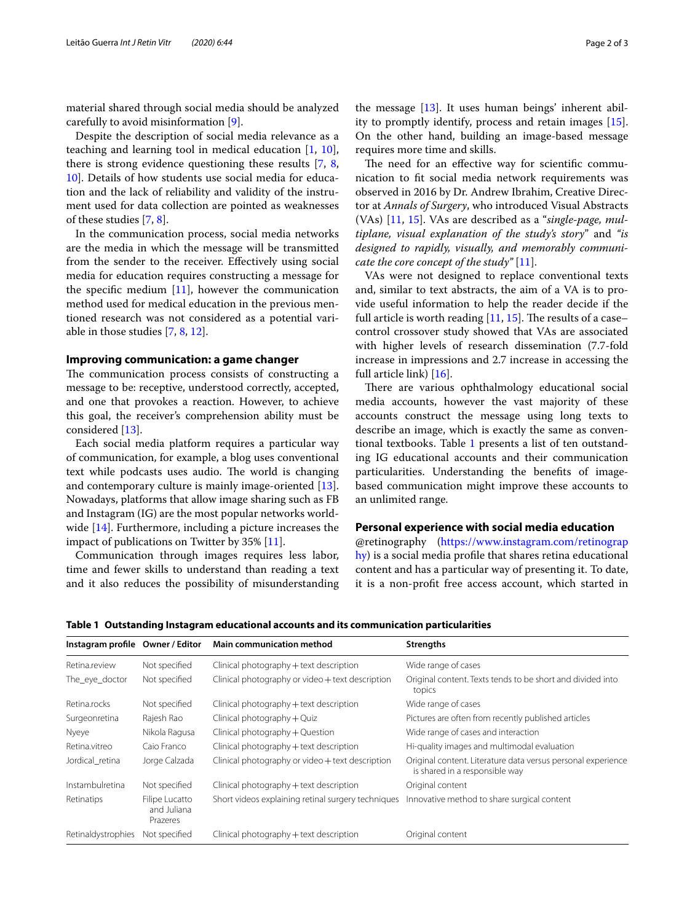material shared through social media should be analyzed carefully to avoid misinformation [\[9](#page-2-8)].

Despite the description of social media relevance as a teaching and learning tool in medical education [[1,](#page-2-0) [10](#page-2-9)], there is strong evidence questioning these results [\[7](#page-2-6), [8](#page-2-7), [10\]](#page-2-9). Details of how students use social media for education and the lack of reliability and validity of the instrument used for data collection are pointed as weaknesses of these studies [[7,](#page-2-6) [8](#page-2-7)].

In the communication process, social media networks are the media in which the message will be transmitted from the sender to the receiver. Efectively using social media for education requires constructing a message for the specific medium  $[11]$  $[11]$ , however the communication method used for medical education in the previous mentioned research was not considered as a potential variable in those studies [\[7](#page-2-6), [8,](#page-2-7) [12](#page-2-11)].

#### **Improving communication: a game changer**

The communication process consists of constructing a message to be: receptive, understood correctly, accepted, and one that provokes a reaction. However, to achieve this goal, the receiver's comprehension ability must be considered [[13\]](#page-2-12).

Each social media platform requires a particular way of communication, for example, a blog uses conventional text while podcasts uses audio. The world is changing and contemporary culture is mainly image-oriented [\[13](#page-2-12)]. Nowadays, platforms that allow image sharing such as FB and Instagram (IG) are the most popular networks worldwide [[14\]](#page-2-13). Furthermore, including a picture increases the impact of publications on Twitter by 35% [\[11](#page-2-10)].

Communication through images requires less labor, time and fewer skills to understand than reading a text and it also reduces the possibility of misunderstanding

the message [\[13](#page-2-12)]. It uses human beings' inherent ability to promptly identify, process and retain images [\[15](#page-2-14)]. On the other hand, building an image-based message requires more time and skills.

The need for an effective way for scientific communication to ft social media network requirements was observed in 2016 by Dr. Andrew Ibrahim, Creative Director at *Annals of Surgery*, who introduced Visual Abstracts (VAs) [[11](#page-2-10), [15\]](#page-2-14). VAs are described as a "*single-page, multiplane, visual explanation of the study's story*" and *"is designed to rapidly, visually, and memorably communicate the core concept of the study"* [\[11\]](#page-2-10).

VAs were not designed to replace conventional texts and, similar to text abstracts, the aim of a VA is to provide useful information to help the reader decide if the full article is worth reading  $[11, 15]$  $[11, 15]$  $[11, 15]$ . The results of a case– control crossover study showed that VAs are associated with higher levels of research dissemination (7.7-fold increase in impressions and 2.7 increase in accessing the full article link) [[16\]](#page-2-15).

There are various ophthalmology educational social media accounts, however the vast majority of these accounts construct the message using long texts to describe an image, which is exactly the same as conventional textbooks. Table [1](#page-1-0) presents a list of ten outstanding IG educational accounts and their communication particularities. Understanding the benefts of imagebased communication might improve these accounts to an unlimited range.

## **Personal experience with social media education**

@retinography ([https://www.instagram.com/retinograp](https://www.instagram.com/retinography) [hy](https://www.instagram.com/retinography)) is a social media profle that shares retina educational content and has a particular way of presenting it. To date, it is a non-proft free access account, which started in

<span id="page-1-0"></span>**Table 1 Outstanding Instagram educational accounts and its communication particularities**

| Instagram profile Owner / Editor |                                           | <b>Main communication method</b>                   | <b>Strengths</b>                                                                               |
|----------------------------------|-------------------------------------------|----------------------------------------------------|------------------------------------------------------------------------------------------------|
| Retina.review                    | Not specified                             | Clinical photography + text description            | Wide range of cases                                                                            |
| The eye doctor                   | Not specified                             | Clinical photography or video + text description   | Original content. Texts tends to be short and divided into<br>topics                           |
| Retina.rocks                     | Not specified                             | Clinical photography + text description            | Wide range of cases                                                                            |
| Surgeonretina                    | Rajesh Rao                                | Clinical photography + Quiz                        | Pictures are often from recently published articles                                            |
| Nyeye                            | Nikola Ragusa                             | Clinical photography + Question                    | Wide range of cases and interaction                                                            |
| Retina.vitreo                    | Caio Franco                               | Clinical photography + text description            | Hi-quality images and multimodal evaluation                                                    |
| Jordical retina                  | Jorge Calzada                             | Clinical photography or video + text description   | Original content. Literature data versus personal experience<br>is shared in a responsible way |
| Instambulretina                  | Not specified                             | Clinical photography + text description            | Original content                                                                               |
| Retinatips                       | Filipe Lucatto<br>and Juliana<br>Prazeres | Short videos explaining retinal surgery techniques | Innovative method to share surgical content                                                    |
| Retinaldystrophies               | Not specified                             | Clinical photography + text description            | Original content                                                                               |